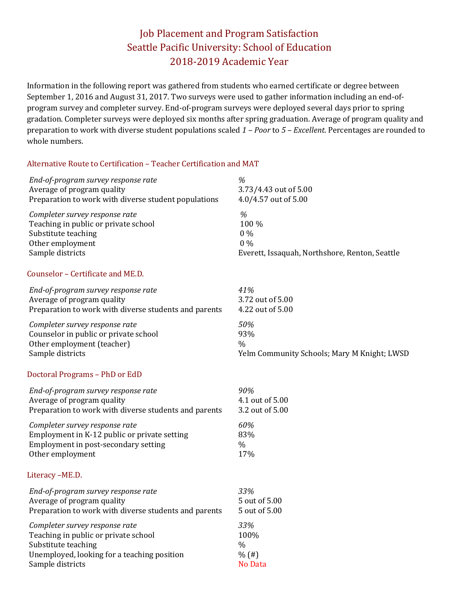# Job Placement and Program Satisfaction Seattle Pacific University: School of Education 2018-2019 Academic Year

Information in the following report was gathered from students who earned certificate or degree between September 1, 2016 and August 31, 2017. Two surveys were used to gather information including an end-ofprogram survey and completer survey. End-of-program surveys were deployed several days prior to spring gradation. Completer surveys were deployed six months after spring graduation. Average of program quality and preparation to work with diverse student populations scaled *1 – Poor* to *5 – Excellent*. Percentages are rounded to whole numbers.

#### Alternative Route to Certification – Teacher Certification and MAT

| End-of-program survey response rate                   | %                                              |
|-------------------------------------------------------|------------------------------------------------|
| Average of program quality                            | 3.73/4.43 out of 5.00                          |
| Preparation to work with diverse student populations  | 4.0/4.57 out of 5.00                           |
| Completer survey response rate                        | %                                              |
| Teaching in public or private school                  | 100 %                                          |
| Substitute teaching                                   | $0\%$                                          |
| Other employment                                      | $0\%$                                          |
| Sample districts                                      | Everett, Issaquah, Northshore, Renton, Seattle |
| Counselor - Certificate and ME.D.                     |                                                |
| End-of-program survey response rate                   | 41%                                            |
| Average of program quality                            | 3.72 out of 5.00                               |
| Preparation to work with diverse students and parents | 4.22 out of 5.00                               |
| Completer survey response rate                        | 50%                                            |
| Counselor in public or private school                 | 93%                                            |
| Other employment (teacher)                            | $\frac{0}{0}$                                  |
| Sample districts                                      | Yelm Community Schools; Mary M Knight; LWSD    |
| Doctoral Programs - PhD or EdD                        |                                                |
| End-of-program survey response rate                   | 90%                                            |
| Average of program quality                            | 4.1 out of 5.00                                |
| Preparation to work with diverse students and parents | 3.2 out of 5.00                                |
| Completer survey response rate                        | 60%                                            |
| Employment in K-12 public or private setting          | 83%                                            |
| Employment in post-secondary setting                  | $\%$                                           |
| Other employment                                      | 17%                                            |
| Literacy-ME.D.                                        |                                                |
| End-of-program survey response rate                   | 33%                                            |
| Average of program quality                            | 5 out of 5.00                                  |
| Preparation to work with diverse students and parents | 5 out of 5.00                                  |
| Completer survey response rate                        | 33%                                            |
| Teaching in public or private school                  | 100%                                           |
| Substitute teaching                                   | $\%$                                           |
| Unemployed, looking for a teaching position           | % (#)                                          |
| Sample districts                                      | No Data                                        |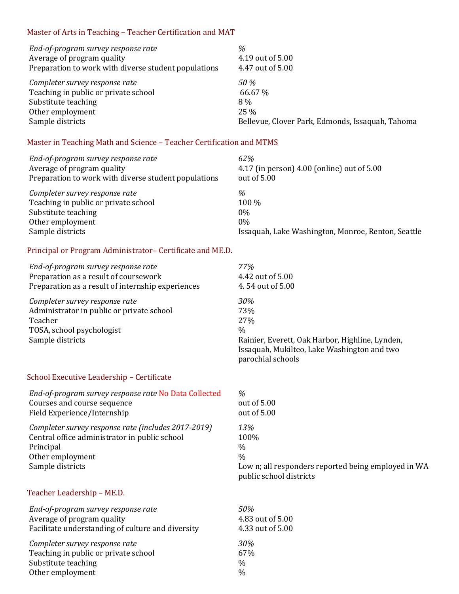### Master of Arts in Teaching – Teacher Certification and MAT

| End-of-program survey response rate                  | %                                                |
|------------------------------------------------------|--------------------------------------------------|
| Average of program quality                           | 4.19 out of 5.00                                 |
| Preparation to work with diverse student populations | 4.47 out of 5.00                                 |
| Completer survey response rate                       | 50 %                                             |
| Teaching in public or private school                 | 66.67 %                                          |
| Substitute teaching                                  | 8%                                               |
| Other employment                                     | $25\%$                                           |
| Sample districts                                     | Bellevue, Clover Park, Edmonds, Issaquah, Tahoma |

### Master in Teaching Math and Science – Teacher Certification and MTMS

| End-of-program survey response rate<br>Average of program quality<br>Preparation to work with diverse student populations | 62%<br>4.17 (in person) 4.00 (online) out of 5.00<br>out of 5.00 |
|---------------------------------------------------------------------------------------------------------------------------|------------------------------------------------------------------|
| Completer survey response rate                                                                                            | %                                                                |
| Teaching in public or private school                                                                                      | 100 %                                                            |
| Substitute teaching                                                                                                       | $0\%$                                                            |
| Other employment                                                                                                          | $0\%$                                                            |
| Sample districts                                                                                                          | Issaquah, Lake Washington, Monroe, Renton, Seattle               |

#### Principal or Program Administrator– Certificate and ME.D.

| End-of-program survey response rate<br>Preparation as a result of coursework<br>Preparation as a result of internship experiences                         | 77%<br>4.42 out of 5.00<br>4.54 out of 5.00                                                                                                               |
|-----------------------------------------------------------------------------------------------------------------------------------------------------------|-----------------------------------------------------------------------------------------------------------------------------------------------------------|
| Completer survey response rate<br>Administrator in public or private school<br>Teacher<br>TOSA, school psychologist<br>Sample districts                   | 30%<br>73%<br>27%<br>$\frac{0}{0}$<br>Rainier, Everett, Oak Harbor, Highline, Lynden,<br>Issaquah, Mukilteo, Lake Washington and two<br>parochial schools |
| School Executive Leadership - Certificate                                                                                                                 |                                                                                                                                                           |
| End-of-program survey response rate No Data Collected<br>Courses and course sequence<br>Field Experience/Internship                                       | %<br>out of 5.00<br>out of 5.00                                                                                                                           |
| Completer survey response rate (includes 2017-2019)<br>Central office administrator in public school<br>Principal<br>Other employment<br>Sample districts | 13%<br>100%<br>$\%$<br>$\frac{0}{0}$<br>Low n; all responders reported being employed in WA<br>public school districts                                    |

# Teacher Leadership – ME.D.

| End-of-program survey response rate<br>.50%       |                  |
|---------------------------------------------------|------------------|
| Average of program quality                        | 4.83 out of 5.00 |
| Facilitate understanding of culture and diversity | 4.33 out of 5.00 |
| Completer survey response rate<br>30%             |                  |
| Teaching in public or private school<br>67%       |                  |
| Substitute teaching<br>$\%$                       |                  |
| Other employment<br>$\%$                          |                  |